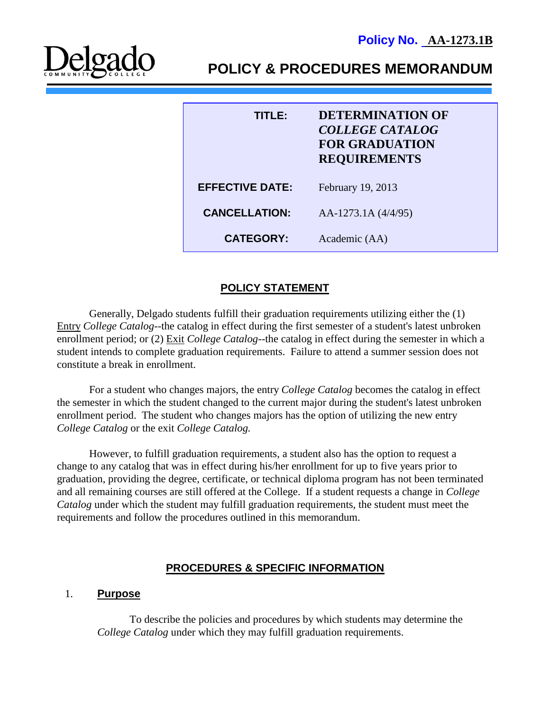

| TITI EI                | <b>DETERMINATION OF</b><br><b>COLLEGE CATALOG</b><br><b>FOR GRADUATION</b><br><b>REQUIREMENTS</b> |
|------------------------|---------------------------------------------------------------------------------------------------|
| <b>EFFECTIVE DATE:</b> | February 19, 2013                                                                                 |
| <b>CANCELLATION:</b>   | AA-1273.1A (4/4/95)                                                                               |
| <b>CATEGORY:</b>       | Academic (AA)                                                                                     |

## **POLICY STATEMENT**

Generally, Delgado students fulfill their graduation requirements utilizing either the (1) Entry *College Catalog*--the catalog in effect during the first semester of a student's latest unbroken enrollment period; or (2) Exit *College Catalog*--the catalog in effect during the semester in which a student intends to complete graduation requirements. Failure to attend a summer session does not constitute a break in enrollment.

For a student who changes majors, the entry *College Catalog* becomes the catalog in effect the semester in which the student changed to the current major during the student's latest unbroken enrollment period. The student who changes majors has the option of utilizing the new entry *College Catalog* or the exit *College Catalog.*

However, to fulfill graduation requirements, a student also has the option to request a change to any catalog that was in effect during his/her enrollment for up to five years prior to graduation, providing the degree, certificate, or technical diploma program has not been terminated and all remaining courses are still offered at the College. If a student requests a change in *College Catalog* under which the student may fulfill graduation requirements, the student must meet the requirements and follow the procedures outlined in this memorandum.

### **PROCEDURES & SPECIFIC INFORMATION**

#### 1. **Purpose**

To describe the policies and procedures by which students may determine the *College Catalog* under which they may fulfill graduation requirements.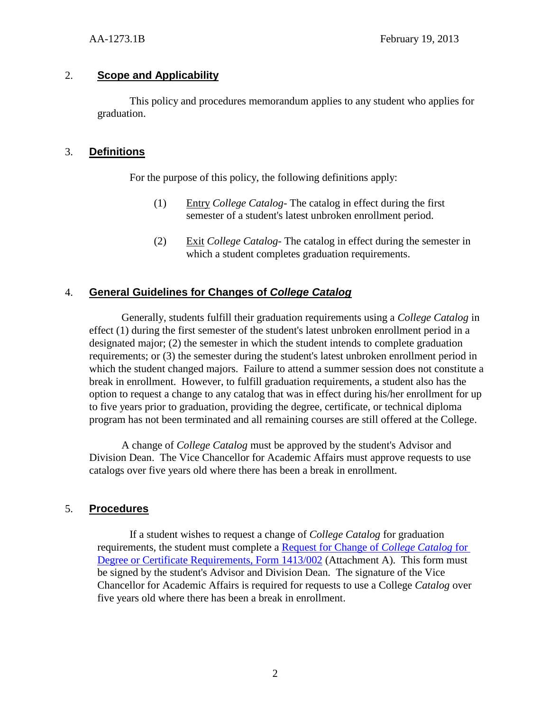### 2. **Scope and Applicability**

This policy and procedures memorandum applies to any student who applies for graduation.

### 3. **Definitions**

For the purpose of this policy, the following definitions apply:

- (1) Entry *College Catalog* The catalog in effect during the first semester of a student's latest unbroken enrollment period.
- (2) Exit *College Catalog-* The catalog in effect during the semester in which a student completes graduation requirements.

# 4. **General Guidelines for Changes of** *College Catalog*

Generally, students fulfill their graduation requirements using a *College Catalog* in effect (1) during the first semester of the student's latest unbroken enrollment period in a designated major; (2) the semester in which the student intends to complete graduation requirements; or (3) the semester during the student's latest unbroken enrollment period in which the student changed majors. Failure to attend a summer session does not constitute a break in enrollment. However, to fulfill graduation requirements, a student also has the option to request a change to any catalog that was in effect during his/her enrollment for up to five years prior to graduation, providing the degree, certificate, or technical diploma program has not been terminated and all remaining courses are still offered at the College.

A change of *College Catalog* must be approved by the student's Advisor and Division Dean. The Vice Chancellor for Academic Affairs must approve requests to use catalogs over five years old where there has been a break in enrollment.

### 5. **Procedures**

If a student wishes to request a change of *College Catalog* for graduation requirements, the student must complete a [Request for Change of](http://docushare3.dcc.edu/docushare/dsweb/Get/Document-120/1413-002+title+updates+2-09.pdf) *College Catalog* for [Degree or Certificate Requirements, Form 1413/002](http://docushare3.dcc.edu/docushare/dsweb/Get/Document-120/1413-002+title+updates+2-09.pdf) (Attachment A). This form must be signed by the student's Advisor and Division Dean. The signature of the Vice Chancellor for Academic Affairs is required for requests to use a College *Catalog* over five years old where there has been a break in enrollment.